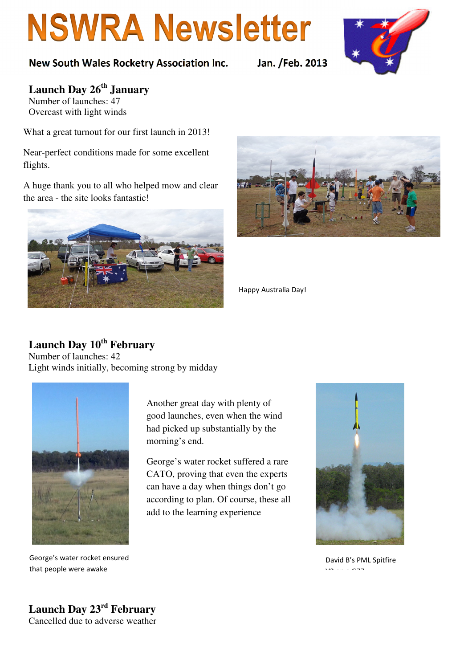# **NSWRA Newsletter**



**Launch Day 26th January**  Number of launches: 47

Overcast with light winds

What a great turnout for our first launch in 2013!

Near-perfect conditions made for some excellent flights.

A huge thank you to all who helped mow and clear the area - the site looks fantastic!





Happy Australia Day!

### **Launch Day 10th February**

Number of launches: 42 Light winds initially, becoming strong by midday



George's water rocket ensured that people were awake

Another great day with plenty of good launches, even when the wind had picked up substantially by the morning's end.

George's water rocket suffered a rare CATO, proving that even the experts can have a day when things don't go according to plan. Of course, these all add to the learning experience



David B's PML Spitfire V2 on a G77

**Launch Day 23rd February**  Cancelled due to adverse weather